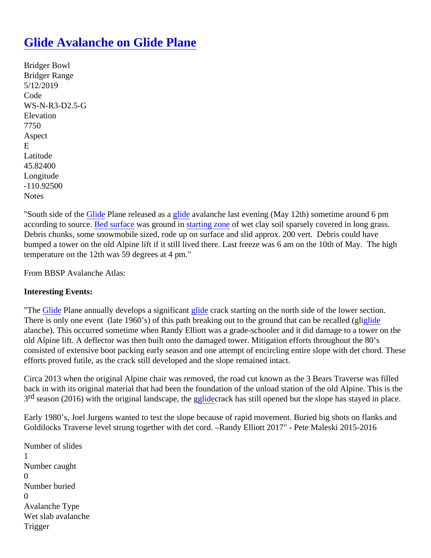## [Glide Avalanche on Glide Plane](https://www.mtavalanche.com/node/20706)

Bridger Bowl Bridger Range 5/12/2019 Code WS-N-R3-D2.5-G **Elevation** 7750 Aspect E Latitude 45.82400 Longitude -110.92500 **Notes** 

"South side of th[e Glide](https://www.mtavalanche.com/taxonomy/term/279) Plane released as glade avalanche last evening (May 12th) sometime around 6 pm accordingto source bed surface was ground instarting zone of wet clay soil sparsely covered in long grass. Debris chunks, some snowmobile sized, rode up on surface and slid approx. 200 vert. Debris could have bumped a tower on the old Alpine lift if it still lived there. Last freeze was 6 am on the 10th of May. The high temperature on the 12th was 59 degrees at 4 pm."

From BBSP Avalanche Atlas:

Interesting Events:

"The [Glide](https://www.mtavalanche.com/taxonomy/term/279) Plane annually develops a significatible crack starting on the north side of the lower section. There is only one event (late 1960's) of this path breaking out to the ground that can be re[called](https://www.mtavalanche.com/taxonomy/term/279) (gli alanche). This occurred sometime when Randy Elliott was a grade-schooler and it did damage to a tower on the old Alpine lift. A deflector was then built onto the damaged tower. Mitigation efforts throughout the 80's consisted of extensive boot packing early season and one attempt of encircling entire slope with det chord. The efforts proved futile, as the crack still developed and the slope remained intact.

Circa 2013 when the original Alpine chair was removed, the road cut known as the 3 Bears Traverse was fille back in with its original material that had been the foundation of the unload station of the old Alpine. This is th 3<sup>rd</sup> season (2016) with the original landscape, [the g](https://www.mtavalanche.com/taxonomy/term/279)rack has still opened but the slope has stayed in place.

Early 1980's, Joel Jurgens wanted to test the slope because of rapid movement. Buried big shots on flanks and Goldilocks Traverse level strung together with det cord. –Randy Elliott 2017" - Pete Maleski 2015-2016

Number of slides 1 Number caught  $\Omega$ Number buried  $\Omega$ Avalanche Type Wet slab avalanche Trigger